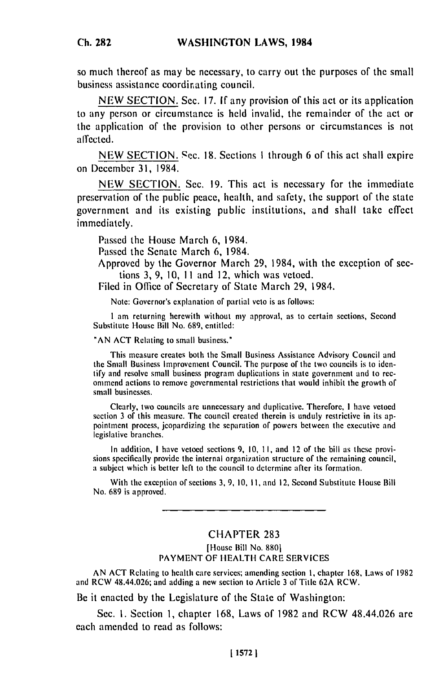so much **thereof** as may **be** necessary, to carry out **the** purposes of the small business assistance coordirating council.

**NEW SECTION.** Sec. **17. If** any provision of this act or its application to any person or circumstance is **held** invalid, the remainder of the act or **the** application of the provision to other persons or circumstances is not affected.

**NEW SECTION. .cc. 18.** Sections **I** through **6** of this act shall expire on December 31, 1984.

**NEW SECTION.** Sec. **19.** This act is necessary for the immediate preservation of **the** public peace, health, and safety, the support of the state government and its existing public institutions, and shall take effect immediately.

Passed the House March **6,** 1984.

Passed the Senate March **6,** 1984.

Approved **by** the Governor March **29,** 1984, with the exception of sections **3, 9, 10, 11** and 12, which was vetoed.

Filed in Office of Secretary of State March **29,** 1984.

Note: Governor's explanation of partial veto is as follows:

I am returning herewith without my approval, as to certain sections, Second Substitute House Bill No. 689, entitled:

**"AN** ACT Relating to small business."

This measure creates both the Small Business Assistance Advisory Council and the Small Business Improvement Council. The purpose of the two councils is to identify and resolve small business program duplications in state government and to recommend actions to remove governmental restrictions that would inhibit the growth of small businesses.

Clearly, two councils are unnecessary and duplicative. Therefore, I have vetoed section 3 of this measure. The council created therein is unduly restrictive in its appointment process, jeopardizing the separation of powers between the executive and legislative branches.

In addition, I have vetoed sections  $9, 10, 11,$  and 12 of the bill as these provi- $\frac{1}{2}$  in addition, 1 nave velocu sections  $\frac{1}{2}$ , 10, 11, and 12 of the remaining council, the remaining council, sions specifically provide the internal organization structure of the remaining council, a subject which is better left to the council to determine after its formation.

With the exception of sections 3, 9, 10, 11, and 12, Second Substitute House Bill No. 689 is approved.

## **CHAPTER 283**

[House Bill No. 880] PAYMENT OF HEALTH CARE SERVICES

**AN ACT** Relating to health care services; amending section I, chapter 168, Laws of 1982 and RCW 48.44.026; and adding a new section to Article 3 of Title 62A RCW.

Be it enacted by the Legislature of the State of Washington:

Sec. I. Section 1, chapter 168, Laws of 1982 and RCW 48.44.026 are each amended to read as follows: